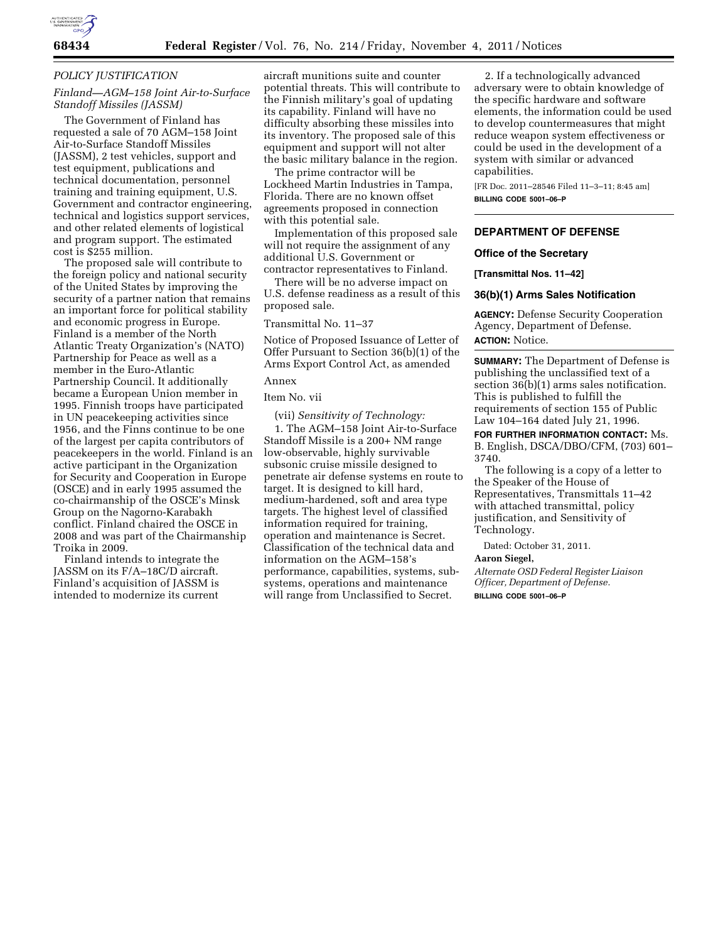

# *POLICY JUSTIFICATION*

# *Finland—AGM–158 Joint Air-to-Surface Standoff Missiles (JASSM)*

The Government of Finland has requested a sale of 70 AGM–158 Joint Air-to-Surface Standoff Missiles (JASSM), 2 test vehicles, support and test equipment, publications and technical documentation, personnel training and training equipment, U.S. Government and contractor engineering, technical and logistics support services, and other related elements of logistical and program support. The estimated cost is \$255 million.

The proposed sale will contribute to the foreign policy and national security of the United States by improving the security of a partner nation that remains an important force for political stability and economic progress in Europe. Finland is a member of the North Atlantic Treaty Organization's (NATO) Partnership for Peace as well as a member in the Euro-Atlantic Partnership Council. It additionally became a European Union member in 1995. Finnish troops have participated in UN peacekeeping activities since 1956, and the Finns continue to be one of the largest per capita contributors of peacekeepers in the world. Finland is an active participant in the Organization for Security and Cooperation in Europe (OSCE) and in early 1995 assumed the co-chairmanship of the OSCE's Minsk Group on the Nagorno-Karabakh conflict. Finland chaired the OSCE in 2008 and was part of the Chairmanship Troika in 2009.

Finland intends to integrate the JASSM on its F/A–18C/D aircraft. Finland's acquisition of JASSM is intended to modernize its current

aircraft munitions suite and counter potential threats. This will contribute to the Finnish military's goal of updating its capability. Finland will have no difficulty absorbing these missiles into its inventory. The proposed sale of this equipment and support will not alter the basic military balance in the region.

The prime contractor will be Lockheed Martin Industries in Tampa, Florida. There are no known offset agreements proposed in connection with this potential sale.

Implementation of this proposed sale will not require the assignment of any additional U.S. Government or contractor representatives to Finland.

There will be no adverse impact on U.S. defense readiness as a result of this proposed sale.

Transmittal No. 11–37

Notice of Proposed Issuance of Letter of Offer Pursuant to Section 36(b)(1) of the Arms Export Control Act, as amended

# Annex

Item No. vii

(vii) *Sensitivity of Technology:* 

1. The AGM–158 Joint Air-to-Surface Standoff Missile is a 200+ NM range low-observable, highly survivable subsonic cruise missile designed to penetrate air defense systems en route to target. It is designed to kill hard, medium-hardened, soft and area type targets. The highest level of classified information required for training, operation and maintenance is Secret. Classification of the technical data and information on the AGM–158's performance, capabilities, systems, subsystems, operations and maintenance will range from Unclassified to Secret.

2. If a technologically advanced adversary were to obtain knowledge of the specific hardware and software elements, the information could be used to develop countermeasures that might reduce weapon system effectiveness or could be used in the development of a system with similar or advanced capabilities.

[FR Doc. 2011–28546 Filed 11–3–11; 8:45 am] **BILLING CODE 5001–06–P** 

#### **DEPARTMENT OF DEFENSE**

#### **Office of the Secretary**

**[Transmittal Nos. 11–42]** 

# **36(b)(1) Arms Sales Notification**

**AGENCY:** Defense Security Cooperation Agency, Department of Defense. **ACTION:** Notice.

**SUMMARY:** The Department of Defense is publishing the unclassified text of a section 36(b)(1) arms sales notification. This is published to fulfill the requirements of section 155 of Public Law 104–164 dated July 21, 1996.

**FOR FURTHER INFORMATION CONTACT:** Ms. B. English, DSCA/DBO/CFM, (703) 601– 3740.

The following is a copy of a letter to the Speaker of the House of Representatives, Transmittals 11–42 with attached transmittal, policy justification, and Sensitivity of Technology.

Dated: October 31, 2011.

#### **Aaron Siegel,**

*Alternate OSD Federal Register Liaison Officer, Department of Defense.*  **BILLING CODE 5001–06–P**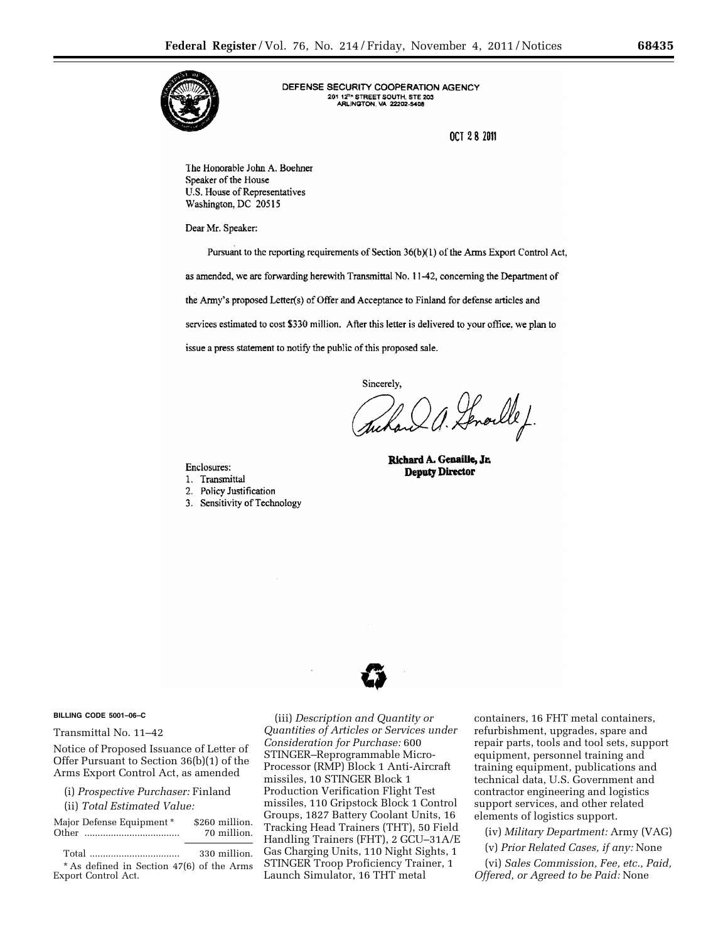

DEFENSE SECURITY COOPERATION AGENCY 201 12<sup>1</sup> STREET SOUTH, STE 203<br>ARLINGTON, VA 22202-5408

**OCT 28 2011** 

The Honorable John A. Boehner Speaker of the House U.S. House of Representatives Washington, DC 20515

Dear Mr. Speaker:

Pursuant to the reporting requirements of Section 36(b)(1) of the Arms Export Control Act, as amended, we are forwarding herewith Transmittal No. 11-42, concerning the Department of the Army's proposed Letter(s) of Offer and Acceptance to Finland for defense articles and services estimated to cost \$330 million. After this letter is delivered to your office, we plan to issue a press statement to notify the public of this proposed sale.

Sincerely,

uhan a. Senoulle J.

Enclosures:

- 1. Transmittal
- 2. Policy Justification
- 3. Sensitivity of Technology

Richard A. Genaille, Jr. **Deputy Director** 



#### **BILLING CODE 5001–06–C**

Transmittal No. 11–42

Notice of Proposed Issuance of Letter of Offer Pursuant to Section 36(b)(1) of the Arms Export Control Act, as amended

(i) *Prospective Purchaser:* Finland (ii) *Total Estimated Value:* 

| Major Defense Equipment * | \$260 million. |
|---------------------------|----------------|
|                           | 70 million.    |
|                           | 330 million.   |

\* As defined in Section 47(6) of the Arms Export Control Act.

(iii) *Description and Quantity or Quantities of Articles or Services under Consideration for Purchase:* 600 STINGER–Reprogrammable Micro-Processor (RMP) Block 1 Anti-Aircraft missiles, 10 STINGER Block 1 Production Verification Flight Test missiles, 110 Gripstock Block 1 Control Groups, 1827 Battery Coolant Units, 16 Tracking Head Trainers (THT), 50 Field Handling Trainers (FHT), 2 GCU–31A/E Gas Charging Units, 110 Night Sights, 1 STINGER Troop Proficiency Trainer, 1 Launch Simulator, 16 THT metal

containers, 16 FHT metal containers, refurbishment, upgrades, spare and repair parts, tools and tool sets, support equipment, personnel training and training equipment, publications and technical data, U.S. Government and contractor engineering and logistics support services, and other related elements of logistics support.

(iv) *Military Department:* Army (VAG)

(v) *Prior Related Cases, if any:* None

(vi) *Sales Commission, Fee, etc., Paid, Offered, or Agreed to be Paid:* None